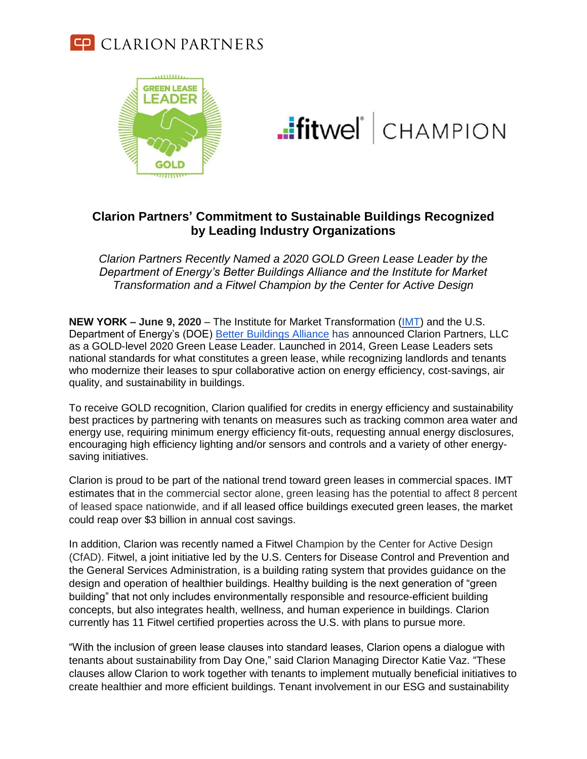



**.:**fitwel<sup>\*</sup> CHAMPION

## **Clarion Partners' Commitment to Sustainable Buildings Recognized by Leading Industry Organizations**

*Clarion Partners Recently Named a 2020 GOLD Green Lease Leader by the Department of Energy's Better Buildings Alliance and the Institute for Market Transformation and a Fitwel Champion by the Center for Active Design*

**NEW YORK – June 9, 2020** – The Institute for Market Transformation [\(IMT\)](http://www.imt.org/) and the U.S. Department of Energy's (DOE) [Better Buildings Alliance](https://betterbuildingsinitiative.energy.gov/alliance) has announced Clarion Partners, LLC as a GOLD-level 2020 Green Lease Leader. Launched in 2014, Green Lease Leaders sets national standards for what constitutes a green lease, while recognizing landlords and tenants who modernize their leases to spur collaborative action on energy efficiency, cost-savings, air quality, and sustainability in buildings.

To receive GOLD recognition, Clarion qualified for credits in energy efficiency and sustainability best practices by partnering with tenants on measures such as tracking common area water and energy use, requiring minimum energy efficiency fit-outs, requesting annual energy disclosures, encouraging high efficiency lighting and/or sensors and controls and a variety of other energysaving initiatives.

Clarion is proud to be part of the national trend toward green leases in commercial spaces. IMT estimates that in the commercial sector alone, green leasing has the potential to affect 8 percent of leased space nationwide, and if all leased office buildings executed green leases, the market could reap over \$3 billion in annual cost savings.

In addition, Clarion was recently named a Fitwel Champion by the Center for Active Design (CfAD). Fitwel, a joint initiative led by the U.S. Centers for Disease Control and Prevention and the General Services Administration, is a building rating system that provides guidance on the design and operation of healthier buildings. Healthy building is the next generation of "green building" that not only includes environmentally responsible and resource-efficient building concepts, but also integrates health, wellness, and human experience in buildings. Clarion currently has 11 Fitwel certified properties across the U.S. with plans to pursue more.

"With the inclusion of green lease clauses into standard leases, Clarion opens a dialogue with tenants about sustainability from Day One," said Clarion Managing Director Katie Vaz. "These clauses allow Clarion to work together with tenants to implement mutually beneficial initiatives to create healthier and more efficient buildings. Tenant involvement in our ESG and sustainability